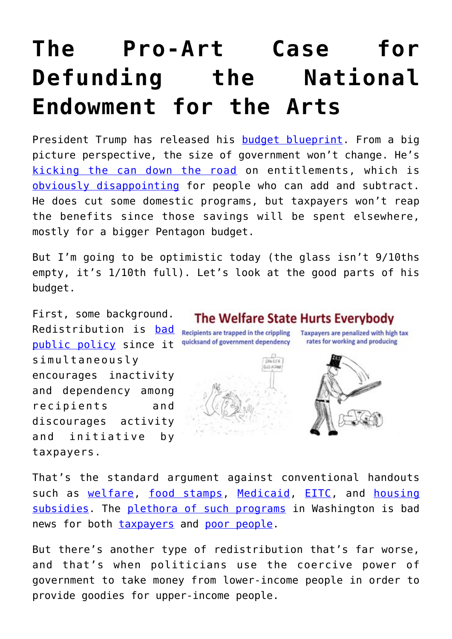# **[The Pro-Art Case for](https://intellectualtakeout.org/2017/03/the-pro-art-case-for-defunding-the-national-endowment-for-the-arts/) [Defunding the National](https://intellectualtakeout.org/2017/03/the-pro-art-case-for-defunding-the-national-endowment-for-the-arts/) [Endowment for the Arts](https://intellectualtakeout.org/2017/03/the-pro-art-case-for-defunding-the-national-endowment-for-the-arts/)**

President Trump has released his **budget blueprint**. From a big picture perspective, the size of government won't change. He's [kicking the can down the road](https://danieljmitchell.wordpress.com/2016/12/29/trump-entitlements-and-americas-potential-greek-future/) on entitlements, which is [obviously disappointing](https://danieljmitchell.wordpress.com/2014/05/08/the-slow-motion-train-wreck-of-entitlement-programs/) for people who can add and subtract. He does cut some domestic programs, but taxpayers won't reap the benefits since those savings will be spent elsewhere, mostly for a bigger Pentagon budget.

But I'm going to be optimistic today (the glass isn't 9/10ths empty, it's 1/10th full). Let's look at the good parts of his budget.

First, some background. Redistribution is [bad](https://danieljmitchell.wordpress.com/2015/09/02/redistribution-is-morally-dubious-economically-harmful-and-it-doesnt-work/) [public policy](https://danieljmitchell.wordpress.com/2015/09/02/redistribution-is-morally-dubious-economically-harmful-and-it-doesnt-work/) since it simultaneously encourages inactivity and dependency among recipients and discourages activity and initiative by taxpayers.

# The Welfare State Hurts Everybody

GANGER **GUT ULSAM** 

Recipients are trapped in the crippling Taxpayers are penalized with high tax quicksand of government dependency





That's the standard argument against conventional handouts such as [welfare,](https://danieljmitchell.wordpress.com/2015/09/27/should-welfare-dependency-be-shameful-or-discomforting/) [food stamps,](https://danieljmitchell.wordpress.com/2016/12/18/end-food-stamps-as-part-of-a-federalist-agenda-to-decentralize-redistribution-programs/) [Medicaid](https://danieljmitchell.wordpress.com/2017/02/25/two-utterly-depressing-medicaid-graphs/), [EITC,](https://danieljmitchell.wordpress.com/2015/10/16/the-eitc-washingtons-fastest-growing-form-of-income-redistribution/) and [housing](https://danieljmitchell.wordpress.com/2011/08/19/another-compelling-reason-to-shut-down-the-department-of-housing-and-urban-development/) [subsidies](https://danieljmitchell.wordpress.com/2011/08/19/another-compelling-reason-to-shut-down-the-department-of-housing-and-urban-development/). The [plethora of such programs](https://danieljmitchell.wordpress.com/2015/11/06/in-one-image-everything-you-need-to-know-about-the-washington-created-welfare-state/) in Washington is bad news for both [taxpayers](https://danieljmitchell.wordpress.com/2012/10/29/the-fiscal-burden-of-the-welfare-state-a-picture-says-a-thousand-words/) and [poor people](https://danieljmitchell.wordpress.com/2011/10/03/new-video-shows-the-war-on-poverty-is-a-failure/).

But there's another type of redistribution that's far worse, and that's when politicians use the coercive power of government to take money from lower-income people in order to provide goodies for upper-income people.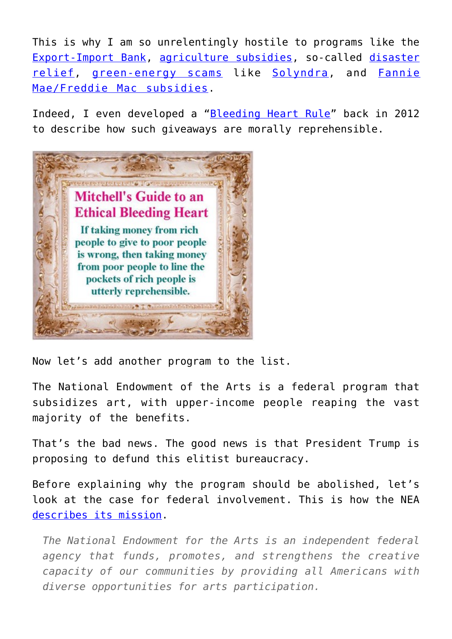This is why I am so unrelentingly hostile to programs like the [Export-Import Bank,](https://danieljmitchell.wordpress.com/2012/04/12/a-nauseating-example-of-cronyism-sleaze-and-corruption-at-the-export-import-bank/) [agriculture subsidies](https://danieljmitchell.wordpress.com/2016/12/14/the-insane-world-of-agriculture-subsidies/), so-called [disaster](https://danieljmitchell.wordpress.com/2012/11/26/disaster-relief-is-not-a-responsibility-of-the-federal-government/) [relief](https://danieljmitchell.wordpress.com/2012/11/26/disaster-relief-is-not-a-responsibility-of-the-federal-government/), [green-energy scams](https://danieljmitchell.wordpress.com/2011/09/27/the-solyndra-scandal-reeks-but-the-entire-green-energy-program-is-a-scam/) like [Solyndra](https://danieljmitchell.wordpress.com/2011/09/21/home-town-columnist-eviscerates-obama-for-chicago-style-corruption-in-solyndra-scandal/), and [Fannie](https://danieljmitchell.wordpress.com/2012/09/16/middle-class-and-poor-people-shouldnt-subsidize-the-mortgages-of-rich-people/) [Mae/Freddie Mac subsidies.](https://danieljmitchell.wordpress.com/2012/09/16/middle-class-and-poor-people-shouldnt-subsidize-the-mortgages-of-rich-people/)

Indeed, I even developed a "[Bleeding Heart Rule"](https://danieljmitchell.wordpress.com/2012/03/20/a-test-for-the-gop-shutting-down-the-spigot-of-corporate-welfare-at-the-export-import-bank/) back in 2012 to describe how such giveaways are morally reprehensible.



Now let's add another program to the list.

The National Endowment of the Arts is a federal program that subsidizes art, with upper-income people reaping the vast majority of the benefits.

That's the bad news. The good news is that President Trump is proposing to defund this elitist bureaucracy.

Before explaining why the program should be abolished, let's look at the case for federal involvement. This is how the NEA [describes its mission](https://www.arts.gov/).

*The National Endowment for the Arts is an independent federal agency that funds, promotes, and strengthens the creative capacity of our communities by providing all Americans with diverse opportunities for arts participation.*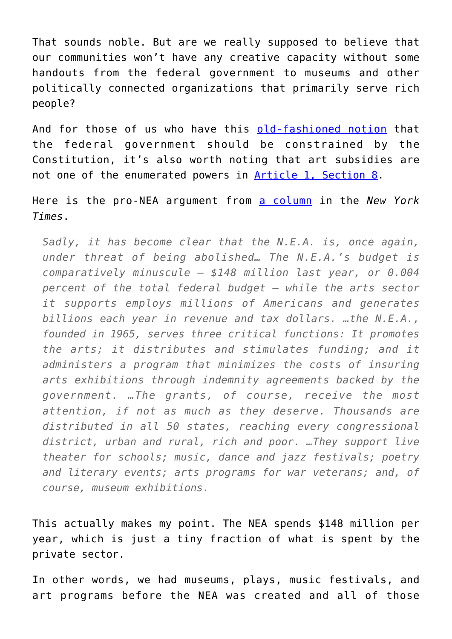That sounds noble. But are we really supposed to believe that our communities won't have any creative capacity without some handouts from the federal government to museums and other politically connected organizations that primarily serve rich people?

And for those of us who have this [old-fashioned notion](https://danieljmitchell.wordpress.com/2016/06/23/congressman-nadler-wins-prize-for-historical-and-constitutional-illiteracy/) that the federal government should be constrained by the Constitution, it's also worth noting that art subsidies are not one of the enumerated powers in [Article 1, Section 8.](https://www.usconstitution.net/xconst_A1Sec8.html)

Here is the pro-NEA argument from [a column](https://mobile.nytimes.com/2017/02/22/opinion/why-art-matters-to-america.html) in the *New York Times*.

*Sadly, it has become clear that the N.E.A. is, once again, under threat of being abolished… The N.E.A.'s budget is comparatively minuscule — \$148 million last year, or 0.004 percent of the total federal budget — while the arts sector it supports employs millions of Americans and generates billions each year in revenue and tax dollars. …the N.E.A., founded in 1965, serves three critical functions: It promotes the arts; it distributes and stimulates funding; and it administers a program that minimizes the costs of insuring arts exhibitions through indemnity agreements backed by the government. …The grants, of course, receive the most attention, if not as much as they deserve. Thousands are distributed in all 50 states, reaching every congressional district, urban and rural, rich and poor. …They support live theater for schools; music, dance and jazz festivals; poetry and literary events; arts programs for war veterans; and, of course, museum exhibitions.*

This actually makes my point. The NEA spends \$148 million per year, which is just a tiny fraction of what is spent by the private sector.

In other words, we had museums, plays, music festivals, and art programs before the NEA was created and all of those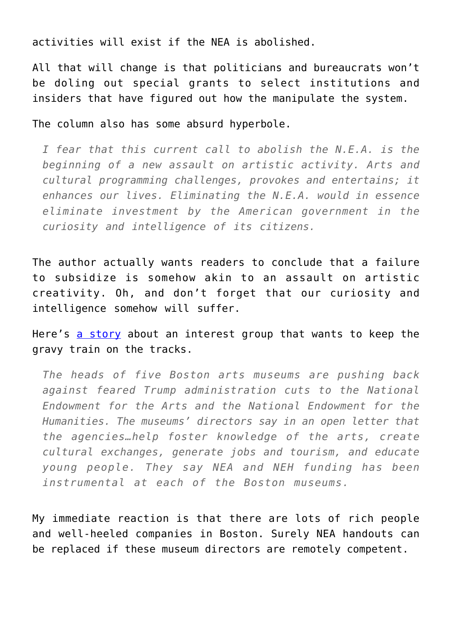activities will exist if the NEA is abolished.

All that will change is that politicians and bureaucrats won't be doling out special grants to select institutions and insiders that have figured out how the manipulate the system.

The column also has some absurd hyperbole.

*I fear that this current call to abolish the N.E.A. is the beginning of a new assault on artistic activity. Arts and cultural programming challenges, provokes and entertains; it enhances our lives. Eliminating the N.E.A. would in essence eliminate investment by the American government in the curiosity and intelligence of its citizens.*

The author actually wants readers to conclude that a failure to subsidize is somehow akin to an assault on artistic creativity. Oh, and don't forget that our curiosity and intelligence somehow will suffer.

Here's [a story](https://www.apnews.com/2e9b8d3130484809abc8a42ae9d746ed) about an interest group that wants to keep the gravy train on the tracks.

*The heads of five Boston arts museums are pushing back against feared Trump administration cuts to the National Endowment for the Arts and the National Endowment for the Humanities. The museums' directors say in an open letter that the agencies…help foster knowledge of the arts, create cultural exchanges, generate jobs and tourism, and educate young people. They say NEA and NEH funding has been instrumental at each of the Boston museums.*

My immediate reaction is that there are lots of rich people and well-heeled companies in Boston. Surely NEA handouts can be replaced if these museum directors are remotely competent.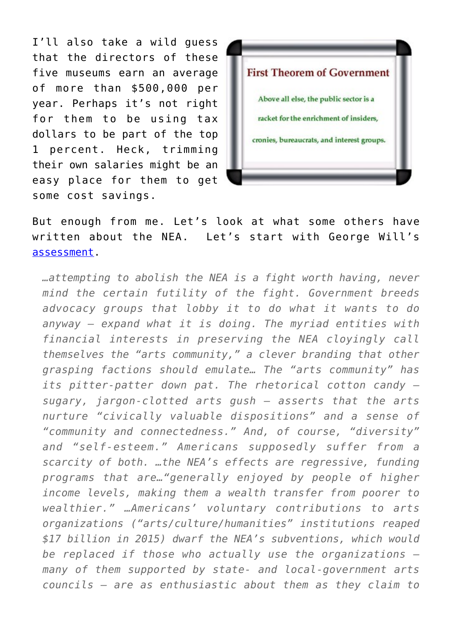I'll also take a wild guess that the directors of these five museums earn an average of more than \$500,000 per year. Perhaps it's not right for them to be using tax dollars to be part of the top 1 percent. Heck, trimming their own salaries might be an easy place for them to get some cost savings.



But enough from me. Let's look at what some others have written about the NEA. Let's start with George Will's [assessment.](http://www.nationalreview.com/article/445797/national-endowment-arts-funding-cuts-eliminate-program)

*…attempting to abolish the NEA is a fight worth having, never mind the certain futility of the fight. Government breeds advocacy groups that lobby it to do what it wants to do anyway — expand what it is doing. The myriad entities with financial interests in preserving the NEA cloyingly call themselves the "arts community," a clever branding that other grasping factions should emulate… The "arts community" has its pitter-patter down pat. The rhetorical cotton candy sugary, jargon-clotted arts gush — asserts that the arts nurture "civically valuable dispositions" and a sense of "community and connectedness." And, of course, "diversity" and "self-esteem." Americans supposedly suffer from a scarcity of both. …the NEA's effects are regressive, funding programs that are…"generally enjoyed by people of higher income levels, making them a wealth transfer from poorer to wealthier." …Americans' voluntary contributions to arts organizations ("arts/culture/humanities" institutions reaped \$17 billion in 2015) dwarf the NEA's subventions, which would be replaced if those who actually use the organizations many of them supported by state- and local-government arts councils — are as enthusiastic about them as they claim to*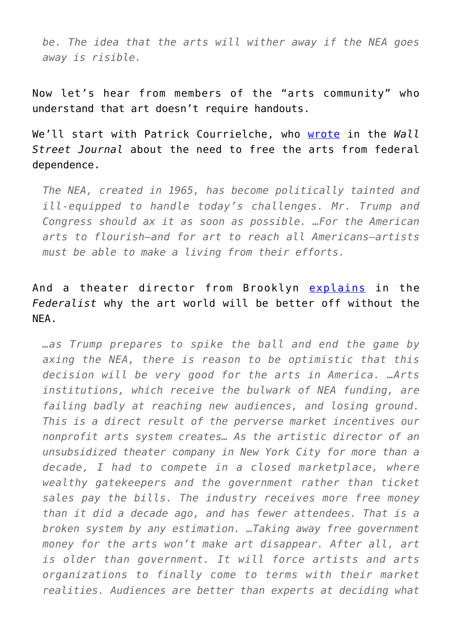*be. The idea that the arts will wither away if the NEA goes away is risible.*

Now let's hear from members of the "arts community" who understand that art doesn't require handouts.

We'll start with Patrick Courrielche, who [wrote](https://www.wsj.com/articles/save-the-arts-by-ending-the-endowment-1485390654) in the *Wall Street Journal* about the need to free the arts from federal dependence.

*The NEA, created in 1965, has become politically tainted and ill-equipped to handle today's challenges. Mr. Trump and Congress should ax it as soon as possible. …For the American arts to flourish—and for art to reach all Americans—artists must be able to make a living from their efforts.*

# And a theater director from Brooklyn [explains](http://thefederalist.com/2017/02/08/ending-federal-funding-will-best-thing-arts-decades/) in the *Federalist* why the art world will be better off without the NEA.

*…as Trump prepares to spike the ball and end the game by axing the NEA, there is reason to be optimistic that this decision will be very good for the arts in America. …Arts institutions, which receive the bulwark of NEA funding, are failing badly at reaching new audiences, and losing ground. This is a direct result of the perverse market incentives our nonprofit arts system creates… As the artistic director of an unsubsidized theater company in New York City for more than a decade, I had to compete in a closed marketplace, where wealthy gatekeepers and the government rather than ticket sales pay the bills. The industry receives more free money than it did a decade ago, and has fewer attendees. That is a broken system by any estimation. …Taking away free government money for the arts won't make art disappear. After all, art is older than government. It will force artists and arts organizations to finally come to terms with their market realities. Audiences are better than experts at deciding what*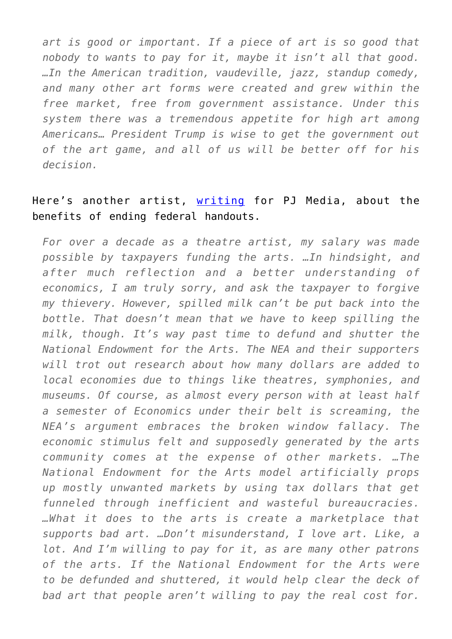*art is good or important. If a piece of art is so good that nobody to wants to pay for it, maybe it isn't all that good. …In the American tradition, vaudeville, jazz, standup comedy, and many other art forms were created and grew within the free market, free from government assistance. Under this system there was a tremendous appetite for high art among Americans… President Trump is wise to get the government out of the art game, and all of us will be better off for his decision.*

### Here's another artist, [writing](https://pjmedia.com/lifestyle/2017/03/05/the-national-endowment-for-the-arts-is-bad-for-art-and-should-be-defunded/) for PJ Media, about the benefits of ending federal handouts.

*For over a decade as a theatre artist, my salary was made possible by taxpayers funding the arts. …In hindsight, and after much reflection and a better understanding of economics, I am truly sorry, and ask the taxpayer to forgive my thievery. However, spilled milk can't be put back into the bottle. That doesn't mean that we have to keep spilling the milk, though. It's way past time to defund and shutter the National Endowment for the Arts. The NEA and their supporters will trot out research about how many dollars are added to local economies due to things like theatres, symphonies, and museums. Of course, as almost every person with at least half a semester of Economics under their belt is screaming, the NEA's argument embraces the broken window fallacy. The economic stimulus felt and supposedly generated by the arts community comes at the expense of other markets. …The National Endowment for the Arts model artificially props up mostly unwanted markets by using tax dollars that get funneled through inefficient and wasteful bureaucracies. …What it does to the arts is create a marketplace that supports bad art. …Don't misunderstand, I love art. Like, a lot. And I'm willing to pay for it, as are many other patrons of the arts. If the National Endowment for the Arts were to be defunded and shuttered, it would help clear the deck of bad art that people aren't willing to pay the real cost for.*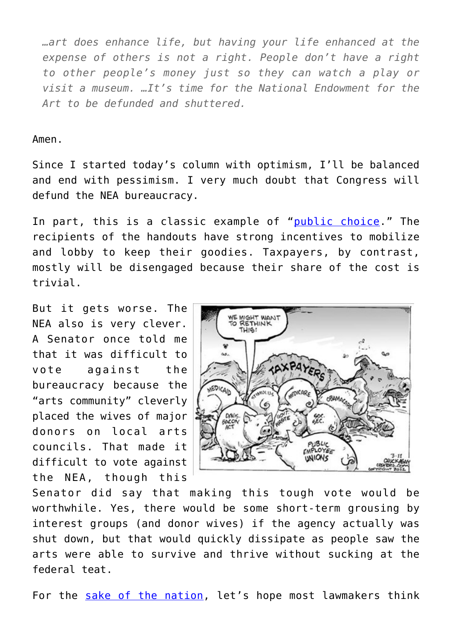*…art does enhance life, but having your life enhanced at the expense of others is not a right. People don't have a right to other people's money just so they can watch a play or visit a museum. …It's time for the National Endowment for the Art to be defunded and shuttered.*

#### Amen.

Since I started today's column with optimism, I'll be balanced and end with pessimism. I very much doubt that Congress will defund the NEA bureaucracy.

In part, this is a classic example of "[public choice](https://danieljmitchell.wordpress.com/2016/10/08/a-videos-primer-on-public-choice-economics/)." The recipients of the handouts have strong incentives to mobilize and lobby to keep their goodies. Taxpayers, by contrast, mostly will be disengaged because their share of the cost is trivial.

But it gets worse. The NEA also is very clever. A Senator once told me that it was difficult to vote against the bureaucracy because the "arts community" cleverly placed the wives of major donors on local arts councils. That made it difficult to vote against the NEA, though this



Senator did say that making this tough vote would be worthwhile. Yes, there would be some short-term grousing by interest groups (and donor wives) if the agency actually was shut down, but that would quickly dissipate as people saw the arts were able to survive and thrive without sucking at the federal teat.

For the [sake of the nation](https://danieljmitchell.wordpress.com/2015/06/19/americas-greek-fiscal-future/), let's hope most lawmakers think